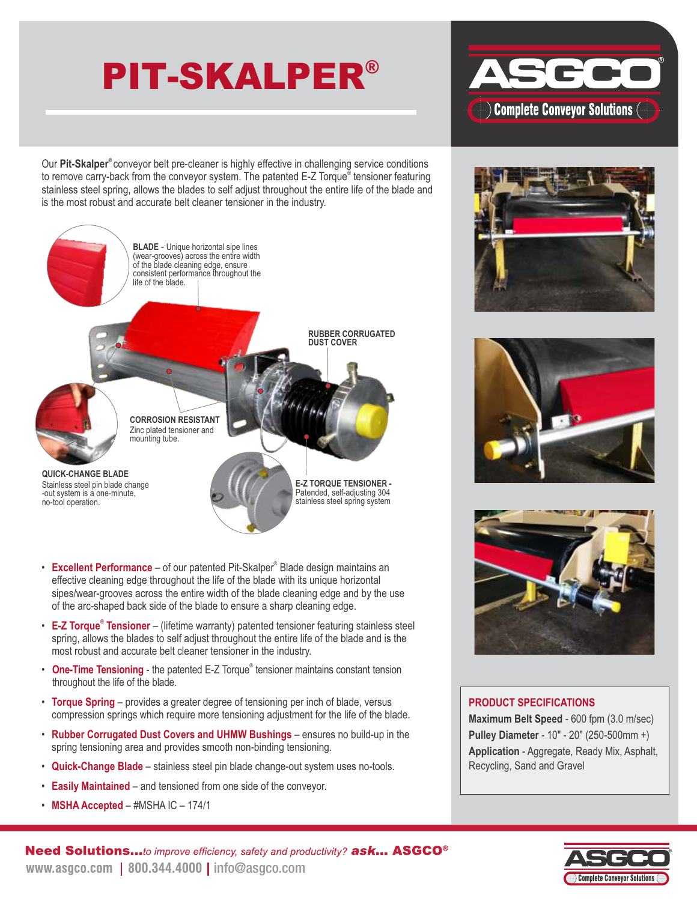# PIT-SKALPER®



Our Pit-Skalper<sup>®</sup> conveyor belt pre-cleaner is highly effective in challenging service conditions to remove carry-back from the conveyor system. The patented E-Z Torque® tensioner featuring stainless steel spring, allows the blades to self adjust throughout the entire life of the blade and is the most robust and accurate belt cleaner tensioner in the industry.



- Excellent Performance of our patented Pit-Skalper<sup>®</sup> Blade design maintains an effective cleaning edge throughout the life of the blade with its unique horizontal sipes/wear-grooves across the entire width of the blade cleaning edge and by the use of the arc-shaped back side of the blade to ensure a sharp cleaning edge.
- **E-Z Torque<sup>®</sup> Tensioner** (lifetime warranty) patented tensioner featuring stainless steel spring, allows the blades to self adjust throughout the entire life of the blade and is the most robust and accurate belt cleaner tensioner in the industry.
- One-Time Tensioning the patented E-Z Torque<sup>®</sup> tensioner maintains constant tension throughout the life of the blade.
- **Torque Spring** provides a greater degree of tensioning per inch of blade, versus compression springs which require more tensioning adjustment for the life of the blade.
- **Rubber Corrugated Dust Covers and UHMW Bushings** ensures no build-up in the spring tensioning area and provides smooth non-binding tensioning.
- **Quick-Change Blade** stainless steel pin blade change-out system uses no-tools.
- **Easily Maintained** and tensioned from one side of the conveyor.
- **MSHA Accepted** #MSHA IC 174/1







#### **PRODUCT SPECIFICATIONS**

**Maximum Belt Speed** - 600 fpm (3.0 m/sec) **Pulley Diameter** - 10" - 20" (250-500mm +) **Application** - Aggregate, Ready Mix, Asphalt, Recycling, Sand and Gravel



Need Solutions...to improve efficiency, safety and productivity? ask... ASGCO<sup>®</sup> www.asgco.com | 800.344.4000 | info@asgco.com